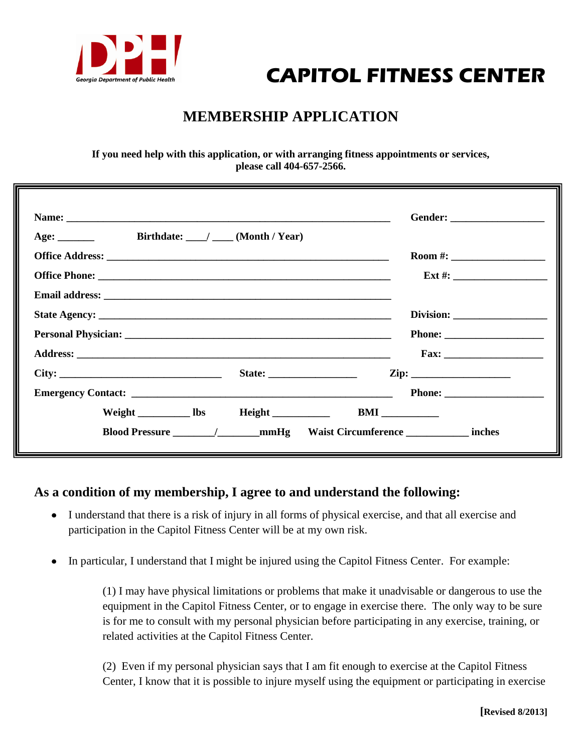

## **CAPITOL FITNESS CENTER**

## **MEMBERSHIP APPLICATION**

**If you need help with this application, or with arranging fitness appointments or services, please call 404-657-2566.**

| Birthdate: $\_\_\_\_\_\_\$ (Month / Year) |                                                  |
|-------------------------------------------|--------------------------------------------------|
|                                           | Room #: $\_$                                     |
|                                           |                                                  |
|                                           |                                                  |
|                                           |                                                  |
|                                           |                                                  |
|                                           |                                                  |
|                                           |                                                  |
|                                           |                                                  |
|                                           |                                                  |
|                                           | Blood Pressure / mmHg Waist Circumference inches |

## **As a condition of my membership, I agree to and understand the following:**

- I understand that there is a risk of injury in all forms of physical exercise, and that all exercise and  $\bullet$ participation in the Capitol Fitness Center will be at my own risk.
- In particular, I understand that I might be injured using the Capitol Fitness Center. For example:

(1) I may have physical limitations or problems that make it unadvisable or dangerous to use the equipment in the Capitol Fitness Center, or to engage in exercise there. The only way to be sure is for me to consult with my personal physician before participating in any exercise, training, or related activities at the Capitol Fitness Center.

(2) Even if my personal physician says that I am fit enough to exercise at the Capitol Fitness Center, I know that it is possible to injure myself using the equipment or participating in exercise